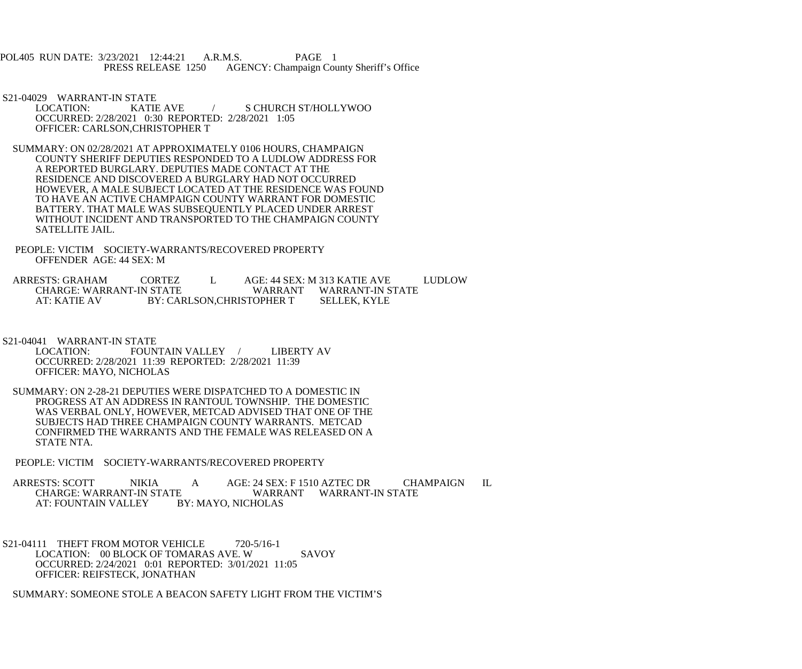POL405 RUN DATE: 3/23/2021 12:44:21 A.R.M.S. PAGE 1<br>PRESS RELEASE 1250 AGENCY: Champaign Cou AGENCY: Champaign County Sheriff's Office

S21-04029 WARRANT-IN STATE<br>LOCATION: KATIE AVE

S CHURCH ST/HOLLYWOO OCCURRED: 2/28/2021 0:30 REPORTED: 2/28/2021 1:05 OFFICER: CARLSON,CHRISTOPHER T

 SUMMARY: ON 02/28/2021 AT APPROXIMATELY 0106 HOURS, CHAMPAIGN COUNTY SHERIFF DEPUTIES RESPONDED TO A LUDLOW ADDRESS FOR A REPORTED BURGLARY. DEPUTIES MADE CONTACT AT THE RESIDENCE AND DISCOVERED A BURGLARY HAD NOT OCCURRED HOWEVER, A MALE SUBJECT LOCATED AT THE RESIDENCE WAS FOUND TO HAVE AN ACTIVE CHAMPAIGN COUNTY WARRANT FOR DOMESTIC BATTERY. THAT MALE WAS SUBSEQUENTLY PLACED UNDER ARREST WITHOUT INCIDENT AND TRANSPORTED TO THE CHAMPAIGN COUNTY SATELLITE JAIL.

 PEOPLE: VICTIM SOCIETY-WARRANTS/RECOVERED PROPERTY OFFENDER AGE: 44 SEX: M

ARRESTS: GRAHAM CORTEZ L AGE: 44 SEX: M 313 KATIE AVE LUDLOW CHARGE: WARRANT-IN STATE WARRANT WARRANT-IN STATE AT: KATIE AV BY: CARLSON, CHRISTOPHER T SELLEK, KYLE

S21-04041 WARRANT-IN STATE<br>LOCATION: FOUN FOUNTAIN VALLEY / LIBERTY AV OCCURRED: 2/28/2021 11:39 REPORTED: 2/28/2021 11:39 OFFICER: MAYO, NICHOLAS

 SUMMARY: ON 2-28-21 DEPUTIES WERE DISPATCHED TO A DOMESTIC IN PROGRESS AT AN ADDRESS IN RANTOUL TOWNSHIP. THE DOMESTIC WAS VERBAL ONLY, HOWEVER, METCAD ADVISED THAT ONE OF THE SUBJECTS HAD THREE CHAMPAIGN COUNTY WARRANTS. METCAD CONFIRMED THE WARRANTS AND THE FEMALE WAS RELEASED ON A STATE NTA.

PEOPLE: VICTIM SOCIETY-WARRANTS/RECOVERED PROPERTY

ARRESTS: SCOTT NIKIA A AGE: 24 SEX: F 1510 AZTEC DR CHAMPAIGN IL<br>CHARGE: WARRANT-IN STATE WARRANT WARRANT-IN STATE E WARRANT WARRANT-IN STATE<br>BY: MAYO. NICHOLAS AT: FOUNTAIN VALLEY

S21-04111 THEFT FROM MOTOR VEHICLE 720-5/16-1 LOCATION: 00 BLOCK OF TOMARAS AVE. W SAVOY OCCURRED: 2/24/2021 0:01 REPORTED: 3/01/2021 11:05 OFFICER: REIFSTECK, JONATHAN

SUMMARY: SOMEONE STOLE A BEACON SAFETY LIGHT FROM THE VICTIM'S